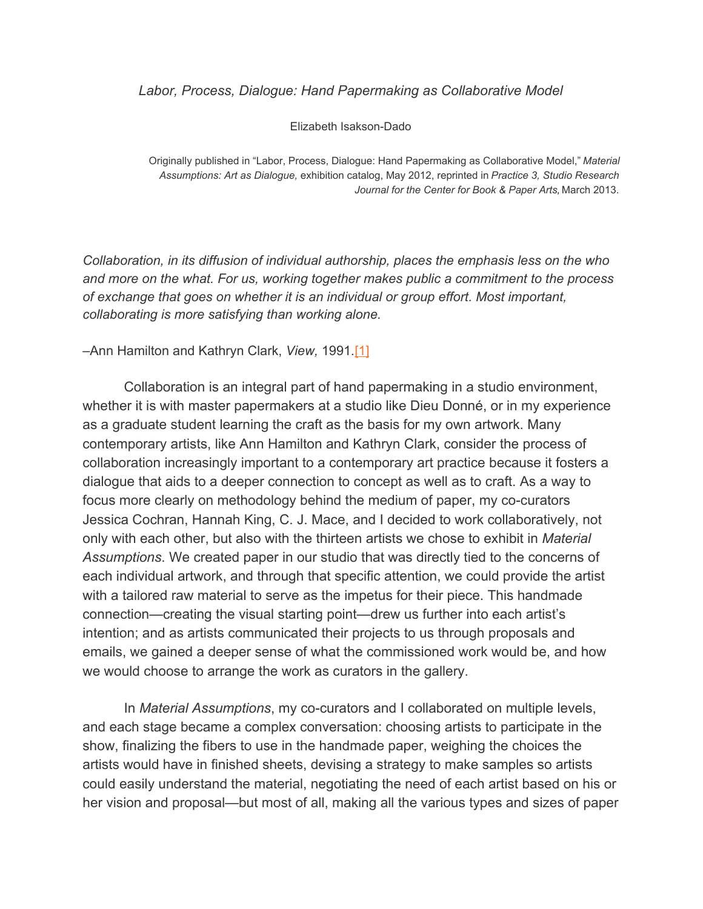## *Labor, Process, Dialogue: Hand Papermaking as Collaborative Model*

Elizabeth Isakson-Dado

Originally published in "Labor, Process, Dialogue: Hand Papermaking as Collaborative Model," *Material Assumptions: Art as Dialogue,* exhibition catalog, May 2012, reprinted in *Practice 3, Studio Research Journal for the Center for Book & Paper Arts*, March 2013.

*Collaboration, in its diffusion of individual authorship, places the emphasis less on the who and more on the what. For us, working together makes public a commitment to the process of exchange that goes on whether it is an individual or group effort. Most important, collaborating is more satisfying than working alone.*

*–*Ann Hamilton and Kathryn Clark, *View,* 1991*.*[\[1\]](https://materialassumptions.wordpress.com/essays/#_ftn1)

Collaboration is an integral part of hand papermaking in a studio environment, whether it is with master papermakers at a studio like Dieu Donné, or in my experience as a graduate student learning the craft as the basis for my own artwork. Many contemporary artists, like Ann Hamilton and Kathryn Clark, consider the process of collaboration increasingly important to a contemporary art practice because it fosters a dialogue that aids to a deeper connection to concept as well as to craft. As a way to focus more clearly on methodology behind the medium of paper, my co-curators Jessica Cochran, Hannah King, C. J. Mace, and I decided to work collaboratively, not only with each other, but also with the thirteen artists we chose to exhibit in *Material Assumptions*. We created paper in our studio that was directly tied to the concerns of each individual artwork, and through that specific attention, we could provide the artist with a tailored raw material to serve as the impetus for their piece. This handmade connection—creating the visual starting point—drew us further into each artist's intention; and as artists communicated their projects to us through proposals and emails, we gained a deeper sense of what the commissioned work would be, and how we would choose to arrange the work as curators in the gallery.

In *Material Assumptions*, my co-curators and I collaborated on multiple levels, and each stage became a complex conversation: choosing artists to participate in the show, finalizing the fibers to use in the handmade paper, weighing the choices the artists would have in finished sheets, devising a strategy to make samples so artists could easily understand the material, negotiating the need of each artist based on his or her vision and proposal—but most of all, making all the various types and sizes of paper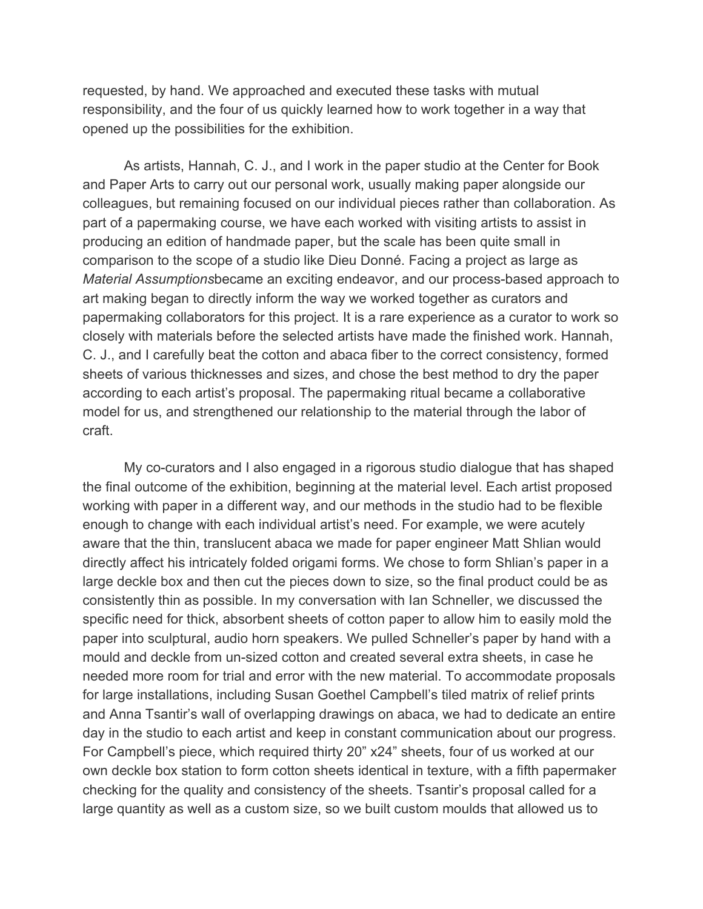requested, by hand. We approached and executed these tasks with mutual responsibility, and the four of us quickly learned how to work together in a way that opened up the possibilities for the exhibition.

As artists, Hannah, C. J., and I work in the paper studio at the Center for Book and Paper Arts to carry out our personal work, usually making paper alongside our colleagues, but remaining focused on our individual pieces rather than collaboration. As part of a papermaking course, we have each worked with visiting artists to assist in producing an edition of handmade paper, but the scale has been quite small in comparison to the scope of a studio like Dieu Donné. Facing a project as large as *Material Assumptions*became an exciting endeavor, and our process-based approach to art making began to directly inform the way we worked together as curators and papermaking collaborators for this project. It is a rare experience as a curator to work so closely with materials before the selected artists have made the finished work. Hannah, C. J., and I carefully beat the cotton and abaca fiber to the correct consistency, formed sheets of various thicknesses and sizes, and chose the best method to dry the paper according to each artist's proposal. The papermaking ritual became a collaborative model for us, and strengthened our relationship to the material through the labor of craft.

My co-curators and I also engaged in a rigorous studio dialogue that has shaped the final outcome of the exhibition, beginning at the material level. Each artist proposed working with paper in a different way, and our methods in the studio had to be flexible enough to change with each individual artist's need. For example, we were acutely aware that the thin, translucent abaca we made for paper engineer Matt Shlian would directly affect his intricately folded origami forms. We chose to form Shlian's paper in a large deckle box and then cut the pieces down to size, so the final product could be as consistently thin as possible. In my conversation with Ian Schneller, we discussed the specific need for thick, absorbent sheets of cotton paper to allow him to easily mold the paper into sculptural, audio horn speakers. We pulled Schneller's paper by hand with a mould and deckle from un-sized cotton and created several extra sheets, in case he needed more room for trial and error with the new material. To accommodate proposals for large installations, including Susan Goethel Campbell's tiled matrix of relief prints and Anna Tsantir's wall of overlapping drawings on abaca, we had to dedicate an entire day in the studio to each artist and keep in constant communication about our progress. For Campbell's piece, which required thirty 20" x24" sheets, four of us worked at our own deckle box station to form cotton sheets identical in texture, with a fifth papermaker checking for the quality and consistency of the sheets. Tsantir's proposal called for a large quantity as well as a custom size, so we built custom moulds that allowed us to